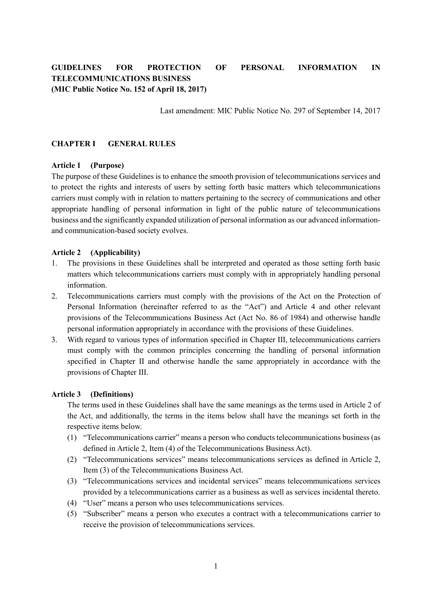# **GUIDELINES FOR PROTECTION OF PERSONAL INFORMATION IN TELECOMMUNICATIONS BUSINESS (MIC Public Notice No. 152 of April 18, 2017)**

Last amendment: MIC Public Notice No. 297 of September 14, 2017

### **CHAPTER I GENERAL RULES**

#### **Article 1 (Purpose)**

The purpose of these Guidelines is to enhance the smooth provision of telecommunications services and to protect the rights and interests of users by setting forth basic matters which telecommunications carriers must comply with in relation to matters pertaining to the secrecy of communications and other appropriate handling of personal information in light of the public nature of telecommunications business and the significantly expanded utilization of personal information as our advanced informationand communication-based society evolves.

#### **Article 2 (Applicability)**

- 1. The provisions in these Guidelines shall be interpreted and operated as those setting forth basic matters which telecommunications carriers must comply with in appropriately handling personal information.
- 2. Telecommunications carriers must comply with the provisions of the Act on the Protection of Personal Information (hereinafter referred to as the "Act") and Article 4 and other relevant provisions of the Telecommunications Business Act (Act No. 86 of 1984) and otherwise handle personal information appropriately in accordance with the provisions of these Guidelines.
- 3. With regard to various types of information specified in Chapter III, telecommunications carriers must comply with the common principles concerning the handling of personal information specified in Chapter II and otherwise handle the same appropriately in accordance with the provisions of Chapter III.

#### **Article 3 (Definitions)**

The terms used in these Guidelines shall have the same meanings as the terms used in Article 2 of the Act, and additionally, the terms in the items below shall have the meanings set forth in the respective items below.

- (1) "Telecommunications carrier" means a person who conducts telecommunications business (as defined in Article 2, Item (4) of the Telecommunications Business Act).
- (2) "Telecommunications services" means telecommunications services as defined in Article 2, Item (3) of the Telecommunications Business Act.
- (3) "Telecommunications services and incidental services" means telecommunications services provided by a telecommunications carrier as a business as well as services incidental thereto.
- (4) "User" means a person who uses telecommunications services.
- (5) "Subscriber" means a person who executes a contract with a telecommunications carrier to receive the provision of telecommunications services.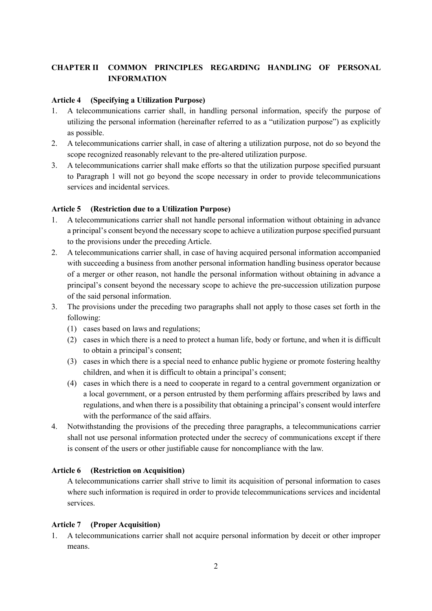# **CHAPTER II COMMON PRINCIPLES REGARDING HANDLING OF PERSONAL INFORMATION**

# **Article 4 (Specifying a Utilization Purpose)**

- 1. A telecommunications carrier shall, in handling personal information, specify the purpose of utilizing the personal information (hereinafter referred to as a "utilization purpose") as explicitly as possible.
- 2. A telecommunications carrier shall, in case of altering a utilization purpose, not do so beyond the scope recognized reasonably relevant to the pre-altered utilization purpose.
- 3. A telecommunications carrier shall make efforts so that the utilization purpose specified pursuant to Paragraph 1 will not go beyond the scope necessary in order to provide telecommunications services and incidental services.

# **Article 5 (Restriction due to a Utilization Purpose)**

- 1. A telecommunications carrier shall not handle personal information without obtaining in advance a principal's consent beyond the necessary scope to achieve a utilization purpose specified pursuant to the provisions under the preceding Article.
- 2. A telecommunications carrier shall, in case of having acquired personal information accompanied with succeeding a business from another personal information handling business operator because of a merger or other reason, not handle the personal information without obtaining in advance a principal's consent beyond the necessary scope to achieve the pre-succession utilization purpose of the said personal information.
- 3. The provisions under the preceding two paragraphs shall not apply to those cases set forth in the following:
	- (1) cases based on laws and regulations;
	- (2) cases in which there is a need to protect a human life, body or fortune, and when it is difficult to obtain a principal's consent;
	- (3) cases in which there is a special need to enhance public hygiene or promote fostering healthy children, and when it is difficult to obtain a principal's consent;
	- (4) cases in which there is a need to cooperate in regard to a central government organization or a local government, or a person entrusted by them performing affairs prescribed by laws and regulations, and when there is a possibility that obtaining a principal's consent would interfere with the performance of the said affairs.
- 4. Notwithstanding the provisions of the preceding three paragraphs, a telecommunications carrier shall not use personal information protected under the secrecy of communications except if there is consent of the users or other justifiable cause for noncompliance with the law.

## **Article 6 (Restriction on Acquisition)**

A telecommunications carrier shall strive to limit its acquisition of personal information to cases where such information is required in order to provide telecommunications services and incidental services.

## **Article 7 (Proper Acquisition)**

1. A telecommunications carrier shall not acquire personal information by deceit or other improper means.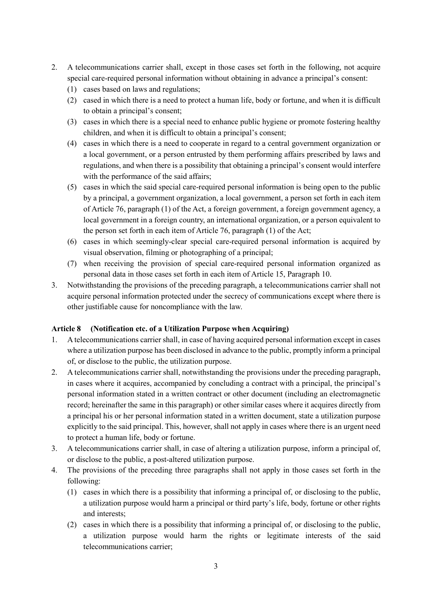- 2. A telecommunications carrier shall, except in those cases set forth in the following, not acquire special care-required personal information without obtaining in advance a principal's consent:
	- (1) cases based on laws and regulations;
	- (2) cased in which there is a need to protect a human life, body or fortune, and when it is difficult to obtain a principal's consent;
	- (3) cases in which there is a special need to enhance public hygiene or promote fostering healthy children, and when it is difficult to obtain a principal's consent;
	- (4) cases in which there is a need to cooperate in regard to a central government organization or a local government, or a person entrusted by them performing affairs prescribed by laws and regulations, and when there is a possibility that obtaining a principal's consent would interfere with the performance of the said affairs;
	- (5) cases in which the said special care-required personal information is being open to the public by a principal, a government organization, a local government, a person set forth in each item of Article 76, paragraph (1) of the Act, a foreign government, a foreign government agency, a local government in a foreign country, an international organization, or a person equivalent to the person set forth in each item of Article 76, paragraph (1) of the Act;
	- (6) cases in which seemingly-clear special care-required personal information is acquired by visual observation, filming or photographing of a principal;
	- (7) when receiving the provision of special care-required personal information organized as personal data in those cases set forth in each item of Article 15, Paragraph 10.
- 3. Notwithstanding the provisions of the preceding paragraph, a telecommunications carrier shall not acquire personal information protected under the secrecy of communications except where there is other justifiable cause for noncompliance with the law.

# **Article 8 (Notification etc. of a Utilization Purpose when Acquiring)**

- 1. A telecommunications carrier shall, in case of having acquired personal information except in cases where a utilization purpose has been disclosed in advance to the public, promptly inform a principal of, or disclose to the public, the utilization purpose.
- 2. A telecommunications carrier shall, notwithstanding the provisions under the preceding paragraph, in cases where it acquires, accompanied by concluding a contract with a principal, the principal's personal information stated in a written contract or other document (including an electromagnetic record; hereinafter the same in this paragraph) or other similar cases where it acquires directly from a principal his or her personal information stated in a written document, state a utilization purpose explicitly to the said principal. This, however, shall not apply in cases where there is an urgent need to protect a human life, body or fortune.
- 3. A telecommunications carrier shall, in case of altering a utilization purpose, inform a principal of, or disclose to the public, a post-altered utilization purpose.
- 4. The provisions of the preceding three paragraphs shall not apply in those cases set forth in the following:
	- (1) cases in which there is a possibility that informing a principal of, or disclosing to the public, a utilization purpose would harm a principal or third party's life, body, fortune or other rights and interests;
	- (2) cases in which there is a possibility that informing a principal of, or disclosing to the public, a utilization purpose would harm the rights or legitimate interests of the said telecommunications carrier;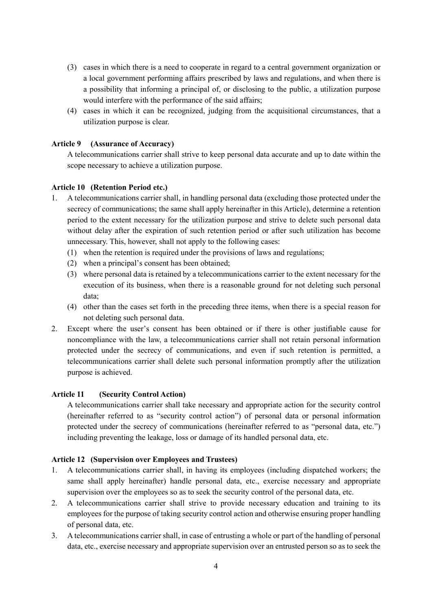- (3) cases in which there is a need to cooperate in regard to a central government organization or a local government performing affairs prescribed by laws and regulations, and when there is a possibility that informing a principal of, or disclosing to the public, a utilization purpose would interfere with the performance of the said affairs;
- (4) cases in which it can be recognized, judging from the acquisitional circumstances, that a utilization purpose is clear.

# **Article 9 (Assurance of Accuracy)**

A telecommunications carrier shall strive to keep personal data accurate and up to date within the scope necessary to achieve a utilization purpose.

## **Article 10 (Retention Period etc.)**

- 1. A telecommunications carrier shall, in handling personal data (excluding those protected under the secrecy of communications; the same shall apply hereinafter in this Article), determine a retention period to the extent necessary for the utilization purpose and strive to delete such personal data without delay after the expiration of such retention period or after such utilization has become unnecessary. This, however, shall not apply to the following cases:
	- (1) when the retention is required under the provisions of laws and regulations;
	- (2) when a principal's consent has been obtained;
	- (3) where personal data is retained by a telecommunications carrier to the extent necessary for the execution of its business, when there is a reasonable ground for not deleting such personal data;
	- (4) other than the cases set forth in the preceding three items, when there is a special reason for not deleting such personal data.
- 2. Except where the user's consent has been obtained or if there is other justifiable cause for noncompliance with the law, a telecommunications carrier shall not retain personal information protected under the secrecy of communications, and even if such retention is permitted, a telecommunications carrier shall delete such personal information promptly after the utilization purpose is achieved.

# **Article 11 (Security Control Action)**

A telecommunications carrier shall take necessary and appropriate action for the security control (hereinafter referred to as "security control action") of personal data or personal information protected under the secrecy of communications (hereinafter referred to as "personal data, etc.") including preventing the leakage, loss or damage of its handled personal data, etc.

## **Article 12 (Supervision over Employees and Trustees)**

- 1. A telecommunications carrier shall, in having its employees (including dispatched workers; the same shall apply hereinafter) handle personal data, etc., exercise necessary and appropriate supervision over the employees so as to seek the security control of the personal data, etc.
- 2. A telecommunications carrier shall strive to provide necessary education and training to its employees for the purpose of taking security control action and otherwise ensuring proper handling of personal data, etc.
- 3. A telecommunications carrier shall, in case of entrusting a whole or part of the handling of personal data, etc., exercise necessary and appropriate supervision over an entrusted person so as to seek the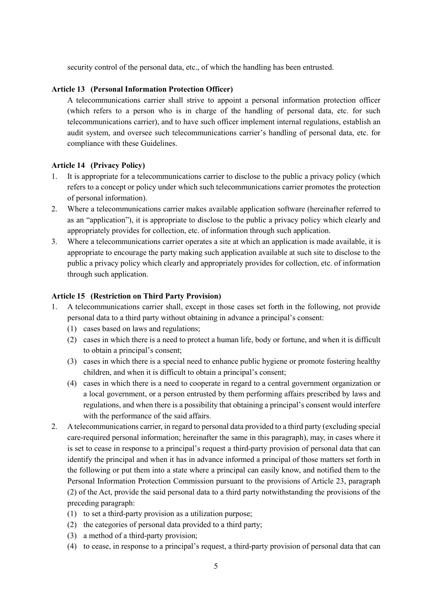security control of the personal data, etc., of which the handling has been entrusted.

### **Article 13 (Personal Information Protection Officer)**

A telecommunications carrier shall strive to appoint a personal information protection officer (which refers to a person who is in charge of the handling of personal data, etc. for such telecommunications carrier), and to have such officer implement internal regulations, establish an audit system, and oversee such telecommunications carrier's handling of personal data, etc. for compliance with these Guidelines.

## **Article 14 (Privacy Policy)**

- 1. It is appropriate for a telecommunications carrier to disclose to the public a privacy policy (which refers to a concept or policy under which such telecommunications carrier promotes the protection of personal information).
- 2. Where a telecommunications carrier makes available application software (hereinafter referred to as an "application"), it is appropriate to disclose to the public a privacy policy which clearly and appropriately provides for collection, etc. of information through such application.
- 3. Where a telecommunications carrier operates a site at which an application is made available, it is appropriate to encourage the party making such application available at such site to disclose to the public a privacy policy which clearly and appropriately provides for collection, etc. of information through such application.

#### **Article 15 (Restriction on Third Party Provision)**

- 1. A telecommunications carrier shall, except in those cases set forth in the following, not provide personal data to a third party without obtaining in advance a principal's consent:
	- (1) cases based on laws and regulations;
	- (2) cases in which there is a need to protect a human life, body or fortune, and when it is difficult to obtain a principal's consent;
	- (3) cases in which there is a special need to enhance public hygiene or promote fostering healthy children, and when it is difficult to obtain a principal's consent;
	- (4) cases in which there is a need to cooperate in regard to a central government organization or a local government, or a person entrusted by them performing affairs prescribed by laws and regulations, and when there is a possibility that obtaining a principal's consent would interfere with the performance of the said affairs.
- 2. A telecommunications carrier, in regard to personal data provided to a third party (excluding special care-required personal information; hereinafter the same in this paragraph), may, in cases where it is set to cease in response to a principal's request a third-party provision of personal data that can identify the principal and when it has in advance informed a principal of those matters set forth in the following or put them into a state where a principal can easily know, and notified them to the Personal Information Protection Commission pursuant to the provisions of Article 23, paragraph (2) of the Act, provide the said personal data to a third party notwithstanding the provisions of the preceding paragraph:
	- (1) to set a third-party provision as a utilization purpose;
	- (2) the categories of personal data provided to a third party;
	- (3) a method of a third-party provision;
	- (4) to cease, in response to a principal's request, a third-party provision of personal data that can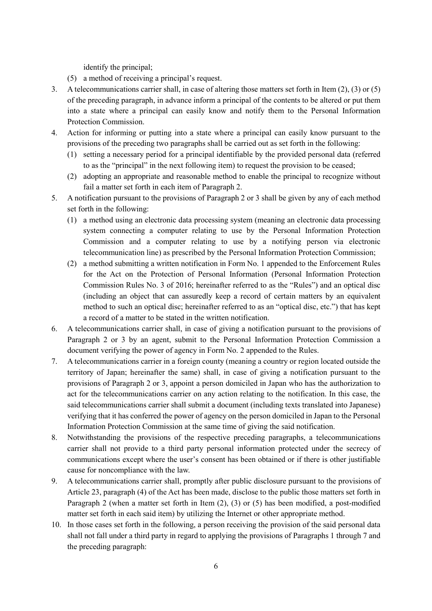identify the principal;

- (5) a method of receiving a principal's request.
- 3. A telecommunications carrier shall, in case of altering those matters set forth in Item (2), (3) or (5) of the preceding paragraph, in advance inform a principal of the contents to be altered or put them into a state where a principal can easily know and notify them to the Personal Information Protection Commission.
- 4. Action for informing or putting into a state where a principal can easily know pursuant to the provisions of the preceding two paragraphs shall be carried out as set forth in the following:
	- (1) setting a necessary period for a principal identifiable by the provided personal data (referred to as the "principal" in the next following item) to request the provision to be ceased;
	- (2) adopting an appropriate and reasonable method to enable the principal to recognize without fail a matter set forth in each item of Paragraph 2.
- 5. A notification pursuant to the provisions of Paragraph 2 or 3 shall be given by any of each method set forth in the following:
	- (1) a method using an electronic data processing system (meaning an electronic data processing system connecting a computer relating to use by the Personal Information Protection Commission and a computer relating to use by a notifying person via electronic telecommunication line) as prescribed by the Personal Information Protection Commission;
	- (2) a method submitting a written notification in Form No. 1 appended to the Enforcement Rules for the Act on the Protection of Personal Information (Personal Information Protection Commission Rules No. 3 of 2016; hereinafter referred to as the "Rules") and an optical disc (including an object that can assuredly keep a record of certain matters by an equivalent method to such an optical disc; hereinafter referred to as an "optical disc, etc.") that has kept a record of a matter to be stated in the written notification.
- 6. A telecommunications carrier shall, in case of giving a notification pursuant to the provisions of Paragraph 2 or 3 by an agent, submit to the Personal Information Protection Commission a document verifying the power of agency in Form No. 2 appended to the Rules.
- 7. A telecommunications carrier in a foreign county (meaning a country or region located outside the territory of Japan; hereinafter the same) shall, in case of giving a notification pursuant to the provisions of Paragraph 2 or 3, appoint a person domiciled in Japan who has the authorization to act for the telecommunications carrier on any action relating to the notification. In this case, the said telecommunications carrier shall submit a document (including texts translated into Japanese) verifying that it has conferred the power of agency on the person domiciled in Japan to the Personal Information Protection Commission at the same time of giving the said notification.
- 8. Notwithstanding the provisions of the respective preceding paragraphs, a telecommunications carrier shall not provide to a third party personal information protected under the secrecy of communications except where the user's consent has been obtained or if there is other justifiable cause for noncompliance with the law.
- 9. A telecommunications carrier shall, promptly after public disclosure pursuant to the provisions of Article 23, paragraph (4) of the Act has been made, disclose to the public those matters set forth in Paragraph 2 (when a matter set forth in Item (2), (3) or (5) has been modified, a post-modified matter set forth in each said item) by utilizing the Internet or other appropriate method.
- 10. In those cases set forth in the following, a person receiving the provision of the said personal data shall not fall under a third party in regard to applying the provisions of Paragraphs 1 through 7 and the preceding paragraph: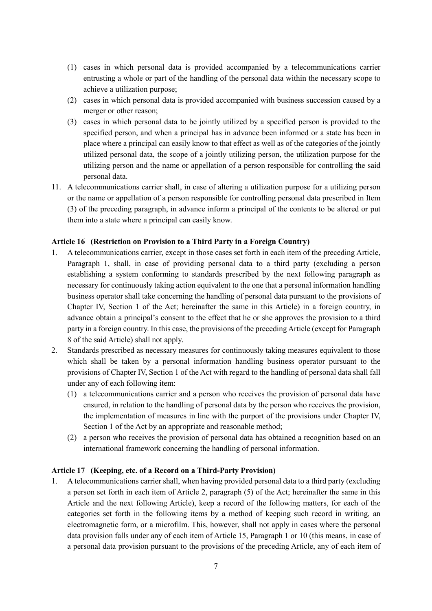- (1) cases in which personal data is provided accompanied by a telecommunications carrier entrusting a whole or part of the handling of the personal data within the necessary scope to achieve a utilization purpose;
- (2) cases in which personal data is provided accompanied with business succession caused by a merger or other reason;
- (3) cases in which personal data to be jointly utilized by a specified person is provided to the specified person, and when a principal has in advance been informed or a state has been in place where a principal can easily know to that effect as well as of the categories of the jointly utilized personal data, the scope of a jointly utilizing person, the utilization purpose for the utilizing person and the name or appellation of a person responsible for controlling the said personal data.
- 11. A telecommunications carrier shall, in case of altering a utilization purpose for a utilizing person or the name or appellation of a person responsible for controlling personal data prescribed in Item (3) of the preceding paragraph, in advance inform a principal of the contents to be altered or put them into a state where a principal can easily know.

# **Article 16 (Restriction on Provision to a Third Party in a Foreign Country)**

- 1. A telecommunications carrier, except in those cases set forth in each item of the preceding Article, Paragraph 1, shall, in case of providing personal data to a third party (excluding a person establishing a system conforming to standards prescribed by the next following paragraph as necessary for continuously taking action equivalent to the one that a personal information handling business operator shall take concerning the handling of personal data pursuant to the provisions of Chapter IV, Section 1 of the Act; hereinafter the same in this Article) in a foreign country, in advance obtain a principal's consent to the effect that he or she approves the provision to a third party in a foreign country. In this case, the provisions of the preceding Article (except for Paragraph 8 of the said Article) shall not apply.
- 2. Standards prescribed as necessary measures for continuously taking measures equivalent to those which shall be taken by a personal information handling business operator pursuant to the provisions of Chapter IV, Section 1 of the Act with regard to the handling of personal data shall fall under any of each following item:
	- (1) a telecommunications carrier and a person who receives the provision of personal data have ensured, in relation to the handling of personal data by the person who receives the provision, the implementation of measures in line with the purport of the provisions under Chapter IV, Section 1 of the Act by an appropriate and reasonable method;
	- (2) a person who receives the provision of personal data has obtained a recognition based on an international framework concerning the handling of personal information.

## **Article 17 (Keeping, etc. of a Record on a Third-Party Provision)**

1. A telecommunications carrier shall, when having provided personal data to a third party (excluding a person set forth in each item of Article 2, paragraph (5) of the Act; hereinafter the same in this Article and the next following Article), keep a record of the following matters, for each of the categories set forth in the following items by a method of keeping such record in writing, an electromagnetic form, or a microfilm. This, however, shall not apply in cases where the personal data provision falls under any of each item of Article 15, Paragraph 1 or 10 (this means, in case of a personal data provision pursuant to the provisions of the preceding Article, any of each item of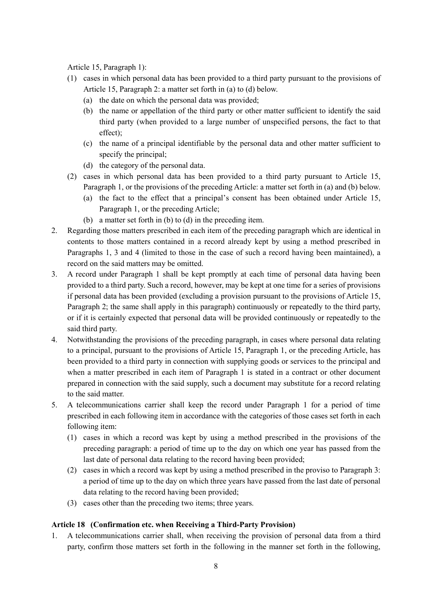Article 15, Paragraph 1):

- (1) cases in which personal data has been provided to a third party pursuant to the provisions of Article 15, Paragraph 2: a matter set forth in (a) to (d) below.
	- (a) the date on which the personal data was provided;
	- (b) the name or appellation of the third party or other matter sufficient to identify the said third party (when provided to a large number of unspecified persons, the fact to that effect);
	- (c) the name of a principal identifiable by the personal data and other matter sufficient to specify the principal;
	- (d) the category of the personal data.
- (2) cases in which personal data has been provided to a third party pursuant to Article 15, Paragraph 1, or the provisions of the preceding Article: a matter set forth in (a) and (b) below.
	- (a) the fact to the effect that a principal's consent has been obtained under Article 15, Paragraph 1, or the preceding Article;
	- (b) a matter set forth in (b) to (d) in the preceding item.
- 2. Regarding those matters prescribed in each item of the preceding paragraph which are identical in contents to those matters contained in a record already kept by using a method prescribed in Paragraphs 1, 3 and 4 (limited to those in the case of such a record having been maintained), a record on the said matters may be omitted.
- 3. A record under Paragraph 1 shall be kept promptly at each time of personal data having been provided to a third party. Such a record, however, may be kept at one time for a series of provisions if personal data has been provided (excluding a provision pursuant to the provisions of Article 15, Paragraph 2; the same shall apply in this paragraph) continuously or repeatedly to the third party, or if it is certainly expected that personal data will be provided continuously or repeatedly to the said third party.
- 4. Notwithstanding the provisions of the preceding paragraph, in cases where personal data relating to a principal, pursuant to the provisions of Article 15, Paragraph 1, or the preceding Article, has been provided to a third party in connection with supplying goods or services to the principal and when a matter prescribed in each item of Paragraph 1 is stated in a contract or other document prepared in connection with the said supply, such a document may substitute for a record relating to the said matter.
- 5. A telecommunications carrier shall keep the record under Paragraph 1 for a period of time prescribed in each following item in accordance with the categories of those cases set forth in each following item:
	- (1) cases in which a record was kept by using a method prescribed in the provisions of the preceding paragraph: a period of time up to the day on which one year has passed from the last date of personal data relating to the record having been provided;
	- (2) cases in which a record was kept by using a method prescribed in the proviso to Paragraph 3: a period of time up to the day on which three years have passed from the last date of personal data relating to the record having been provided;
	- (3) cases other than the preceding two items; three years.

# **Article 18 (Confirmation etc. when Receiving a Third-Party Provision)**

1. A telecommunications carrier shall, when receiving the provision of personal data from a third party, confirm those matters set forth in the following in the manner set forth in the following,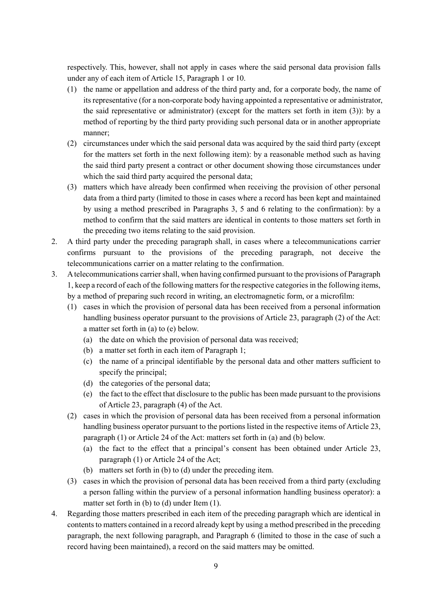respectively. This, however, shall not apply in cases where the said personal data provision falls under any of each item of Article 15, Paragraph 1 or 10.

- (1) the name or appellation and address of the third party and, for a corporate body, the name of its representative (for a non-corporate body having appointed a representative or administrator, the said representative or administrator) (except for the matters set forth in item (3)): by a method of reporting by the third party providing such personal data or in another appropriate manner;
- (2) circumstances under which the said personal data was acquired by the said third party (except for the matters set forth in the next following item): by a reasonable method such as having the said third party present a contract or other document showing those circumstances under which the said third party acquired the personal data;
- (3) matters which have already been confirmed when receiving the provision of other personal data from a third party (limited to those in cases where a record has been kept and maintained by using a method prescribed in Paragraphs 3, 5 and 6 relating to the confirmation): by a method to confirm that the said matters are identical in contents to those matters set forth in the preceding two items relating to the said provision.
- 2. A third party under the preceding paragraph shall, in cases where a telecommunications carrier confirms pursuant to the provisions of the preceding paragraph, not deceive the telecommunications carrier on a matter relating to the confirmation.
- 3. A telecommunications carrier shall, when having confirmed pursuant to the provisions of Paragraph 1, keep a record of each of the following matters for the respective categories in the following items, by a method of preparing such record in writing, an electromagnetic form, or a microfilm:
	- (1) cases in which the provision of personal data has been received from a personal information handling business operator pursuant to the provisions of Article 23, paragraph (2) of the Act: a matter set forth in (a) to (e) below.
		- (a) the date on which the provision of personal data was received;
		- (b) a matter set forth in each item of Paragraph 1;
		- (c) the name of a principal identifiable by the personal data and other matters sufficient to specify the principal;
		- (d) the categories of the personal data;
		- (e) the fact to the effect that disclosure to the public has been made pursuant to the provisions of Article 23, paragraph (4) of the Act.
	- (2) cases in which the provision of personal data has been received from a personal information handling business operator pursuant to the portions listed in the respective items of Article 23, paragraph (1) or Article 24 of the Act: matters set forth in (a) and (b) below.
		- (a) the fact to the effect that a principal's consent has been obtained under Article 23, paragraph (1) or Article 24 of the Act;
		- (b) matters set forth in (b) to (d) under the preceding item.
	- (3) cases in which the provision of personal data has been received from a third party (excluding a person falling within the purview of a personal information handling business operator): a matter set forth in (b) to (d) under Item (1).
- 4. Regarding those matters prescribed in each item of the preceding paragraph which are identical in contents to matters contained in a record already kept by using a method prescribed in the preceding paragraph, the next following paragraph, and Paragraph 6 (limited to those in the case of such a record having been maintained), a record on the said matters may be omitted.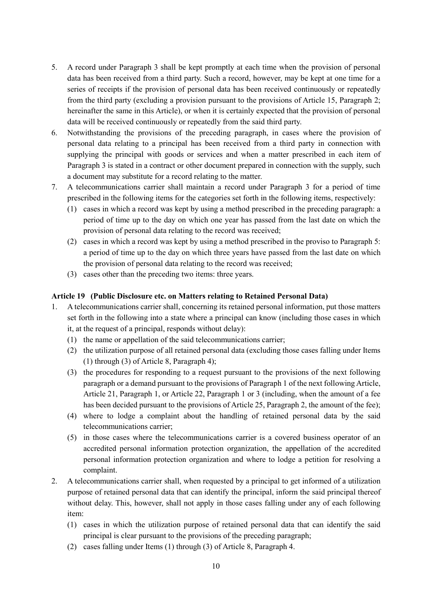- 5. A record under Paragraph 3 shall be kept promptly at each time when the provision of personal data has been received from a third party. Such a record, however, may be kept at one time for a series of receipts if the provision of personal data has been received continuously or repeatedly from the third party (excluding a provision pursuant to the provisions of Article 15, Paragraph 2; hereinafter the same in this Article), or when it is certainly expected that the provision of personal data will be received continuously or repeatedly from the said third party.
- 6. Notwithstanding the provisions of the preceding paragraph, in cases where the provision of personal data relating to a principal has been received from a third party in connection with supplying the principal with goods or services and when a matter prescribed in each item of Paragraph 3 is stated in a contract or other document prepared in connection with the supply, such a document may substitute for a record relating to the matter.
- 7. A telecommunications carrier shall maintain a record under Paragraph 3 for a period of time prescribed in the following items for the categories set forth in the following items, respectively:
	- (1) cases in which a record was kept by using a method prescribed in the preceding paragraph: a period of time up to the day on which one year has passed from the last date on which the provision of personal data relating to the record was received;
	- (2) cases in which a record was kept by using a method prescribed in the proviso to Paragraph 5: a period of time up to the day on which three years have passed from the last date on which the provision of personal data relating to the record was received;
	- (3) cases other than the preceding two items: three years.

## **Article 19 (Public Disclosure etc. on Matters relating to Retained Personal Data)**

- 1. A telecommunications carrier shall, concerning its retained personal information, put those matters set forth in the following into a state where a principal can know (including those cases in which it, at the request of a principal, responds without delay):
	- (1) the name or appellation of the said telecommunications carrier;
	- (2) the utilization purpose of all retained personal data (excluding those cases falling under Items (1) through (3) of Article 8, Paragraph 4);
	- (3) the procedures for responding to a request pursuant to the provisions of the next following paragraph or a demand pursuant to the provisions of Paragraph 1 of the next following Article, Article 21, Paragraph 1, or Article 22, Paragraph 1 or 3 (including, when the amount of a fee has been decided pursuant to the provisions of Article 25, Paragraph 2, the amount of the fee);
	- (4) where to lodge a complaint about the handling of retained personal data by the said telecommunications carrier;
	- (5) in those cases where the telecommunications carrier is a covered business operator of an accredited personal information protection organization, the appellation of the accredited personal information protection organization and where to lodge a petition for resolving a complaint.
- 2. A telecommunications carrier shall, when requested by a principal to get informed of a utilization purpose of retained personal data that can identify the principal, inform the said principal thereof without delay. This, however, shall not apply in those cases falling under any of each following item:
	- (1) cases in which the utilization purpose of retained personal data that can identify the said principal is clear pursuant to the provisions of the preceding paragraph;
	- (2) cases falling under Items (1) through (3) of Article 8, Paragraph 4.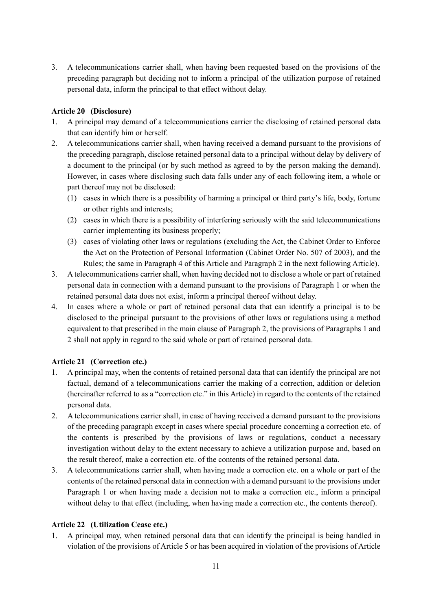3. A telecommunications carrier shall, when having been requested based on the provisions of the preceding paragraph but deciding not to inform a principal of the utilization purpose of retained personal data, inform the principal to that effect without delay.

# **Article 20 (Disclosure)**

- 1. A principal may demand of a telecommunications carrier the disclosing of retained personal data that can identify him or herself.
- 2. A telecommunications carrier shall, when having received a demand pursuant to the provisions of the preceding paragraph, disclose retained personal data to a principal without delay by delivery of a document to the principal (or by such method as agreed to by the person making the demand). However, in cases where disclosing such data falls under any of each following item, a whole or part thereof may not be disclosed:
	- (1) cases in which there is a possibility of harming a principal or third party's life, body, fortune or other rights and interests;
	- (2) cases in which there is a possibility of interfering seriously with the said telecommunications carrier implementing its business properly;
	- (3) cases of violating other laws or regulations (excluding the Act, the Cabinet Order to Enforce the Act on the Protection of Personal Information (Cabinet Order No. 507 of 2003), and the Rules; the same in Paragraph 4 of this Article and Paragraph 2 in the next following Article).
- 3. A telecommunications carrier shall, when having decided not to disclose a whole or part of retained personal data in connection with a demand pursuant to the provisions of Paragraph 1 or when the retained personal data does not exist, inform a principal thereof without delay.
- 4. In cases where a whole or part of retained personal data that can identify a principal is to be disclosed to the principal pursuant to the provisions of other laws or regulations using a method equivalent to that prescribed in the main clause of Paragraph 2, the provisions of Paragraphs 1 and 2 shall not apply in regard to the said whole or part of retained personal data.

# **Article 21 (Correction etc.)**

- 1. A principal may, when the contents of retained personal data that can identify the principal are not factual, demand of a telecommunications carrier the making of a correction, addition or deletion (hereinafter referred to as a "correction etc." in this Article) in regard to the contents of the retained personal data.
- 2. A telecommunications carrier shall, in case of having received a demand pursuant to the provisions of the preceding paragraph except in cases where special procedure concerning a correction etc. of the contents is prescribed by the provisions of laws or regulations, conduct a necessary investigation without delay to the extent necessary to achieve a utilization purpose and, based on the result thereof, make a correction etc. of the contents of the retained personal data.
- 3. A telecommunications carrier shall, when having made a correction etc. on a whole or part of the contents of the retained personal data in connection with a demand pursuant to the provisions under Paragraph 1 or when having made a decision not to make a correction etc., inform a principal without delay to that effect (including, when having made a correction etc., the contents thereof).

# **Article 22 (Utilization Cease etc.)**

1. A principal may, when retained personal data that can identify the principal is being handled in violation of the provisions of Article 5 or has been acquired in violation of the provisions of Article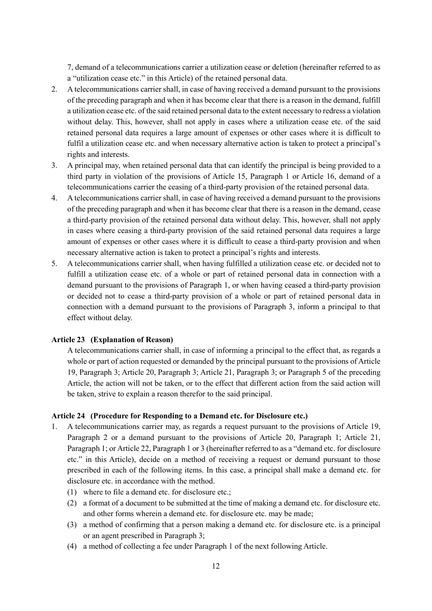7, demand of a telecommunications carrier a utilization cease or deletion (hereinafter referred to as a "utilization cease etc." in this Article) of the retained personal data.

- 2. A telecommunications carrier shall, in case of having received a demand pursuant to the provisions of the preceding paragraph and when it has become clear that there is a reason in the demand, fulfill a utilization cease etc. of the said retained personal data to the extent necessary to redress a violation without delay. This, however, shall not apply in cases where a utilization cease etc. of the said retained personal data requires a large amount of expenses or other cases where it is difficult to fulfil a utilization cease etc. and when necessary alternative action is taken to protect a principal's rights and interests.
- 3. A principal may, when retained personal data that can identify the principal is being provided to a third party in violation of the provisions of Article 15, Paragraph 1 or Article 16, demand of a telecommunications carrier the ceasing of a third-party provision of the retained personal data.
- 4. A telecommunications carrier shall, in case of having received a demand pursuant to the provisions of the preceding paragraph and when it has become clear that there is a reason in the demand, cease a third-party provision of the retained personal data without delay. This, however, shall not apply in cases where ceasing a third-party provision of the said retained personal data requires a large amount of expenses or other cases where it is difficult to cease a third-party provision and when necessary alternative action is taken to protect a principal's rights and interests.
- 5. A telecommunications carrier shall, when having fulfilled a utilization cease etc. or decided not to fulfill a utilization cease etc. of a whole or part of retained personal data in connection with a demand pursuant to the provisions of Paragraph 1, or when having ceased a third-party provision or decided not to cease a third-party provision of a whole or part of retained personal data in connection with a demand pursuant to the provisions of Paragraph 3, inform a principal to that effect without delay.

#### **Article 23 (Explanation of Reason)**

A telecommunications carrier shall, in case of informing a principal to the effect that, as regards a whole or part of action requested or demanded by the principal pursuant to the provisions of Article 19, Paragraph 3; Article 20, Paragraph 3; Article 21, Paragraph 3; or Paragraph 5 of the preceding Article, the action will not be taken, or to the effect that different action from the said action will be taken, strive to explain a reason therefor to the said principal.

#### **Article 24 (Procedure for Responding to a Demand etc. for Disclosure etc.)**

- 1. A telecommunications carrier may, as regards a request pursuant to the provisions of Article 19, Paragraph 2 or a demand pursuant to the provisions of Article 20, Paragraph 1; Article 21, Paragraph 1; or Article 22, Paragraph 1 or 3 (hereinafter referred to as a "demand etc. for disclosure etc." in this Article), decide on a method of receiving a request or demand pursuant to those prescribed in each of the following items. In this case, a principal shall make a demand etc. for disclosure etc. in accordance with the method.
	- (1) where to file a demand etc. for disclosure etc.;
	- (2) a format of a document to be submitted at the time of making a demand etc. for disclosure etc. and other forms wherein a demand etc. for disclosure etc. may be made;
	- (3) a method of confirming that a person making a demand etc. for disclosure etc. is a principal or an agent prescribed in Paragraph 3;
	- (4) a method of collecting a fee under Paragraph 1 of the next following Article.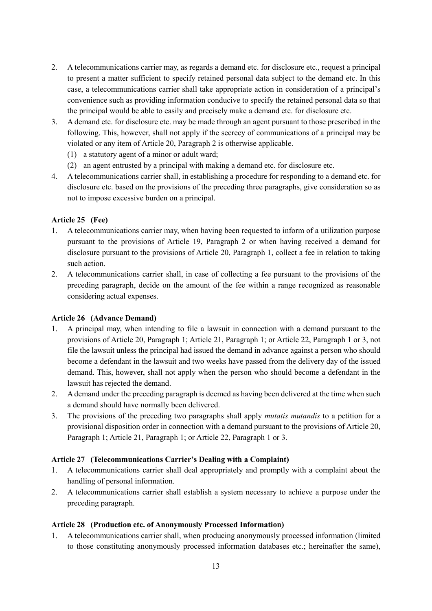- 2. A telecommunications carrier may, as regards a demand etc. for disclosure etc., request a principal to present a matter sufficient to specify retained personal data subject to the demand etc. In this case, a telecommunications carrier shall take appropriate action in consideration of a principal's convenience such as providing information conducive to specify the retained personal data so that the principal would be able to easily and precisely make a demand etc. for disclosure etc.
- 3. A demand etc. for disclosure etc. may be made through an agent pursuant to those prescribed in the following. This, however, shall not apply if the secrecy of communications of a principal may be violated or any item of Article 20, Paragraph 2 is otherwise applicable.
	- (1) a statutory agent of a minor or adult ward;
	- (2) an agent entrusted by a principal with making a demand etc. for disclosure etc.
- 4. A telecommunications carrier shall, in establishing a procedure for responding to a demand etc. for disclosure etc. based on the provisions of the preceding three paragraphs, give consideration so as not to impose excessive burden on a principal.

# **Article 25 (Fee)**

- 1. A telecommunications carrier may, when having been requested to inform of a utilization purpose pursuant to the provisions of Article 19, Paragraph 2 or when having received a demand for disclosure pursuant to the provisions of Article 20, Paragraph 1, collect a fee in relation to taking such action.
- 2. A telecommunications carrier shall, in case of collecting a fee pursuant to the provisions of the preceding paragraph, decide on the amount of the fee within a range recognized as reasonable considering actual expenses.

# **Article 26 (Advance Demand)**

- 1. A principal may, when intending to file a lawsuit in connection with a demand pursuant to the provisions of Article 20, Paragraph 1; Article 21, Paragraph 1; or Article 22, Paragraph 1 or 3, not file the lawsuit unless the principal had issued the demand in advance against a person who should become a defendant in the lawsuit and two weeks have passed from the delivery day of the issued demand. This, however, shall not apply when the person who should become a defendant in the lawsuit has rejected the demand.
- 2. A demand under the preceding paragraph is deemed as having been delivered at the time when such a demand should have normally been delivered.
- 3. The provisions of the preceding two paragraphs shall apply *mutatis mutandis* to a petition for a provisional disposition order in connection with a demand pursuant to the provisions of Article 20, Paragraph 1; Article 21, Paragraph 1; or Article 22, Paragraph 1 or 3.

## **Article 27 (Telecommunications Carrier's Dealing with a Complaint)**

- 1. A telecommunications carrier shall deal appropriately and promptly with a complaint about the handling of personal information.
- 2. A telecommunications carrier shall establish a system necessary to achieve a purpose under the preceding paragraph.

## **Article 28 (Production etc. of Anonymously Processed Information)**

1. A telecommunications carrier shall, when producing anonymously processed information (limited to those constituting anonymously processed information databases etc.; hereinafter the same),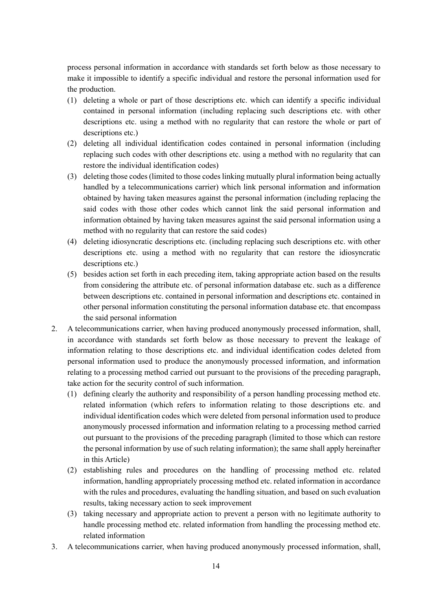process personal information in accordance with standards set forth below as those necessary to make it impossible to identify a specific individual and restore the personal information used for the production.

- (1) deleting a whole or part of those descriptions etc. which can identify a specific individual contained in personal information (including replacing such descriptions etc. with other descriptions etc. using a method with no regularity that can restore the whole or part of descriptions etc.)
- (2) deleting all individual identification codes contained in personal information (including replacing such codes with other descriptions etc. using a method with no regularity that can restore the individual identification codes)
- (3) deleting those codes (limited to those codes linking mutually plural information being actually handled by a telecommunications carrier) which link personal information and information obtained by having taken measures against the personal information (including replacing the said codes with those other codes which cannot link the said personal information and information obtained by having taken measures against the said personal information using a method with no regularity that can restore the said codes)
- (4) deleting idiosyncratic descriptions etc. (including replacing such descriptions etc. with other descriptions etc. using a method with no regularity that can restore the idiosyncratic descriptions etc.)
- (5) besides action set forth in each preceding item, taking appropriate action based on the results from considering the attribute etc. of personal information database etc. such as a difference between descriptions etc. contained in personal information and descriptions etc. contained in other personal information constituting the personal information database etc. that encompass the said personal information
- 2. A telecommunications carrier, when having produced anonymously processed information, shall, in accordance with standards set forth below as those necessary to prevent the leakage of information relating to those descriptions etc. and individual identification codes deleted from personal information used to produce the anonymously processed information, and information relating to a processing method carried out pursuant to the provisions of the preceding paragraph, take action for the security control of such information.
	- (1) defining clearly the authority and responsibility of a person handling processing method etc. related information (which refers to information relating to those descriptions etc. and individual identification codes which were deleted from personal information used to produce anonymously processed information and information relating to a processing method carried out pursuant to the provisions of the preceding paragraph (limited to those which can restore the personal information by use of such relating information); the same shall apply hereinafter in this Article)
	- (2) establishing rules and procedures on the handling of processing method etc. related information, handling appropriately processing method etc. related information in accordance with the rules and procedures, evaluating the handling situation, and based on such evaluation results, taking necessary action to seek improvement
	- (3) taking necessary and appropriate action to prevent a person with no legitimate authority to handle processing method etc. related information from handling the processing method etc. related information
- 3. A telecommunications carrier, when having produced anonymously processed information, shall,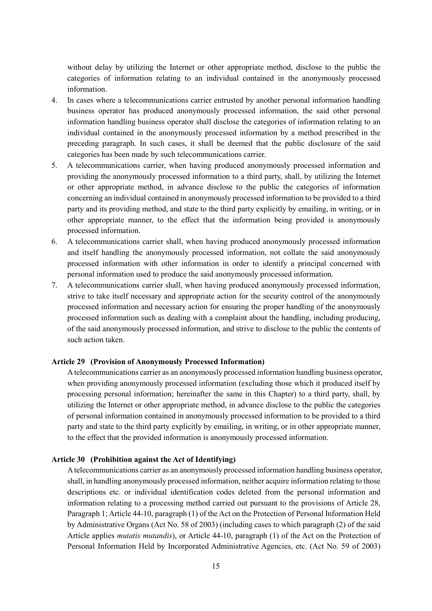without delay by utilizing the Internet or other appropriate method, disclose to the public the categories of information relating to an individual contained in the anonymously processed information.

- 4. In cases where a telecommunications carrier entrusted by another personal information handling business operator has produced anonymously processed information, the said other personal information handling business operator shall disclose the categories of information relating to an individual contained in the anonymously processed information by a method prescribed in the preceding paragraph. In such cases, it shall be deemed that the public disclosure of the said categories has been made by such telecommunications carrier.
- 5. A telecommunications carrier, when having produced anonymously processed information and providing the anonymously processed information to a third party, shall, by utilizing the Internet or other appropriate method, in advance disclose to the public the categories of information concerning an individual contained in anonymously processed information to be provided to a third party and its providing method, and state to the third party explicitly by emailing, in writing, or in other appropriate manner, to the effect that the information being provided is anonymously processed information.
- 6. A telecommunications carrier shall, when having produced anonymously processed information and itself handling the anonymously processed information, not collate the said anonymously processed information with other information in order to identify a principal concerned with personal information used to produce the said anonymously processed information.
- 7. A telecommunications carrier shall, when having produced anonymously processed information, strive to take itself necessary and appropriate action for the security control of the anonymously processed information and necessary action for ensuring the proper handling of the anonymously processed information such as dealing with a complaint about the handling, including producing, of the said anonymously processed information, and strive to disclose to the public the contents of such action taken.

### **Article 29 (Provision of Anonymously Processed Information)**

A telecommunications carrier as an anonymously processed information handling business operator, when providing anonymously processed information (excluding those which it produced itself by processing personal information; hereinafter the same in this Chapter) to a third party, shall, by utilizing the Internet or other appropriate method, in advance disclose to the public the categories of personal information contained in anonymously processed information to be provided to a third party and state to the third party explicitly by emailing, in writing, or in other appropriate manner, to the effect that the provided information is anonymously processed information.

# **Article 30 (Prohibition against the Act of Identifying)**

A telecommunications carrier as an anonymously processed information handling business operator, shall, in handling anonymously processed information, neither acquire information relating to those descriptions etc. or individual identification codes deleted from the personal information and information relating to a processing method carried out pursuant to the provisions of Article 28, Paragraph 1; Article 44-10, paragraph (1) of the Act on the Protection of Personal Information Held by Administrative Organs (Act No. 58 of 2003) (including cases to which paragraph (2) of the said Article applies *mutatis mutandis*), or Article 44-10, paragraph (1) of the Act on the Protection of Personal Information Held by Incorporated Administrative Agencies, etc. (Act No. 59 of 2003)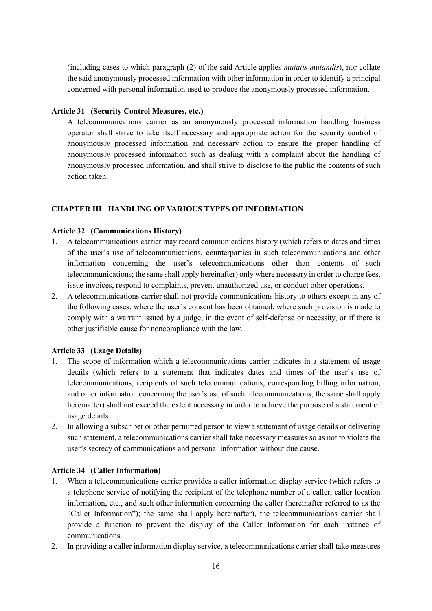(including cases to which paragraph (2) of the said Article applies *mutatis mutandis*), nor collate the said anonymously processed information with other information in order to identify a principal concerned with personal information used to produce the anonymously processed information.

### **Article 31 (Security Control Measures, etc.)**

A telecommunications carrier as an anonymously processed information handling business operator shall strive to take itself necessary and appropriate action for the security control of anonymously processed information and necessary action to ensure the proper handling of anonymously processed information such as dealing with a complaint about the handling of anonymously processed information, and shall strive to disclose to the public the contents of such action taken.

#### **CHAPTER III HANDLING OF VARIOUS TYPES OF INFORMATION**

#### **Article 32 (Communications History)**

- 1. A telecommunications carrier may record communications history (which refers to dates and times of the user's use of telecommunications, counterparties in such telecommunications and other information concerning the user's telecommunications other than contents of such telecommunications; the same shall apply hereinafter) only where necessary in order to charge fees, issue invoices, respond to complaints, prevent unauthorized use, or conduct other operations.
- 2. A telecommunications carrier shall not provide communications history to others except in any of the following cases: where the user's consent has been obtained, where such provision is made to comply with a warrant issued by a judge, in the event of self-defense or necessity, or if there is other justifiable cause for noncompliance with the law.

#### **Article 33 (Usage Details)**

- 1. The scope of information which a telecommunications carrier indicates in a statement of usage details (which refers to a statement that indicates dates and times of the user's use of telecommunications, recipients of such telecommunications, corresponding billing information, and other information concerning the user's use of such telecommunications; the same shall apply hereinafter) shall not exceed the extent necessary in order to achieve the purpose of a statement of usage details.
- 2. In allowing a subscriber or other permitted person to view a statement of usage details or delivering such statement, a telecommunications carrier shall take necessary measures so as not to violate the user's secrecy of communications and personal information without due cause.

#### **Article 34 (Caller Information)**

- 1. When a telecommunications carrier provides a caller information display service (which refers to a telephone service of notifying the recipient of the telephone number of a caller, caller location information, etc., and such other information concerning the caller (hereinafter referred to as the "Caller Information"); the same shall apply hereinafter), the telecommunications carrier shall provide a function to prevent the display of the Caller Information for each instance of communications.
- 2. In providing a caller information display service, a telecommunications carrier shall take measures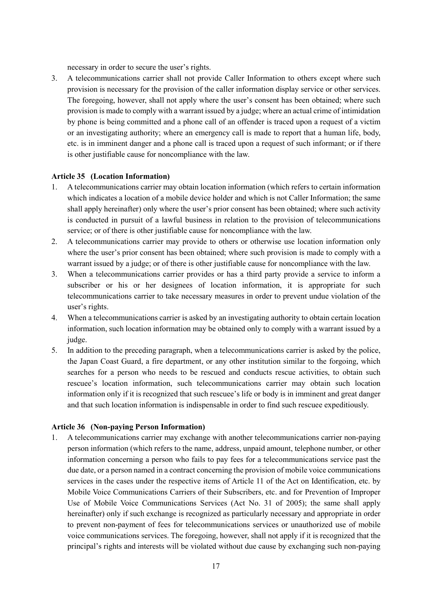necessary in order to secure the user's rights.

3. A telecommunications carrier shall not provide Caller Information to others except where such provision is necessary for the provision of the caller information display service or other services. The foregoing, however, shall not apply where the user's consent has been obtained; where such provision is made to comply with a warrant issued by a judge; where an actual crime of intimidation by phone is being committed and a phone call of an offender is traced upon a request of a victim or an investigating authority; where an emergency call is made to report that a human life, body, etc. is in imminent danger and a phone call is traced upon a request of such informant; or if there is other justifiable cause for noncompliance with the law.

### **Article 35 (Location Information)**

- 1. A telecommunications carrier may obtain location information (which refers to certain information which indicates a location of a mobile device holder and which is not Caller Information; the same shall apply hereinafter) only where the user's prior consent has been obtained; where such activity is conducted in pursuit of a lawful business in relation to the provision of telecommunications service; or of there is other justifiable cause for noncompliance with the law.
- 2. A telecommunications carrier may provide to others or otherwise use location information only where the user's prior consent has been obtained; where such provision is made to comply with a warrant issued by a judge; or of there is other justifiable cause for noncompliance with the law.
- 3. When a telecommunications carrier provides or has a third party provide a service to inform a subscriber or his or her designees of location information, it is appropriate for such telecommunications carrier to take necessary measures in order to prevent undue violation of the user's rights.
- 4. When a telecommunications carrier is asked by an investigating authority to obtain certain location information, such location information may be obtained only to comply with a warrant issued by a judge.
- 5. In addition to the preceding paragraph, when a telecommunications carrier is asked by the police, the Japan Coast Guard, a fire department, or any other institution similar to the forgoing, which searches for a person who needs to be rescued and conducts rescue activities, to obtain such rescuee's location information, such telecommunications carrier may obtain such location information only if it is recognized that such rescuee's life or body is in imminent and great danger and that such location information is indispensable in order to find such rescuee expeditiously.

### **Article 36 (Non-paying Person Information)**

1. A telecommunications carrier may exchange with another telecommunications carrier non-paying person information (which refers to the name, address, unpaid amount, telephone number, or other information concerning a person who fails to pay fees for a telecommunications service past the due date, or a person named in a contract concerning the provision of mobile voice communications services in the cases under the respective items of Article 11 of the Act on Identification, etc. by Mobile Voice Communications Carriers of their Subscribers, etc. and for Prevention of Improper Use of Mobile Voice Communications Services (Act No. 31 of 2005); the same shall apply hereinafter) only if such exchange is recognized as particularly necessary and appropriate in order to prevent non-payment of fees for telecommunications services or unauthorized use of mobile voice communications services. The foregoing, however, shall not apply if it is recognized that the principal's rights and interests will be violated without due cause by exchanging such non-paying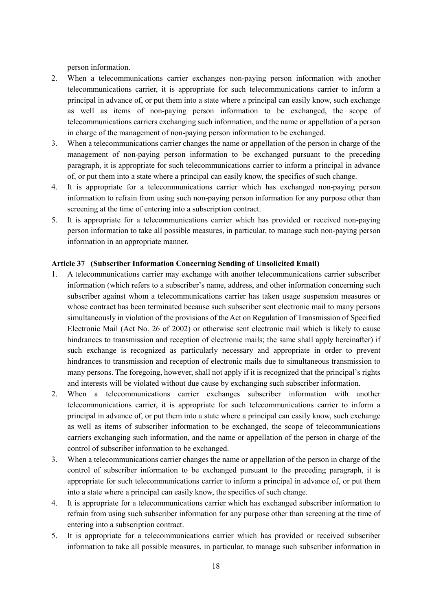person information.

- 2. When a telecommunications carrier exchanges non-paying person information with another telecommunications carrier, it is appropriate for such telecommunications carrier to inform a principal in advance of, or put them into a state where a principal can easily know, such exchange as well as items of non-paying person information to be exchanged, the scope of telecommunications carriers exchanging such information, and the name or appellation of a person in charge of the management of non-paying person information to be exchanged.
- 3. When a telecommunications carrier changes the name or appellation of the person in charge of the management of non-paying person information to be exchanged pursuant to the preceding paragraph, it is appropriate for such telecommunications carrier to inform a principal in advance of, or put them into a state where a principal can easily know, the specifics of such change.
- 4. It is appropriate for a telecommunications carrier which has exchanged non-paying person information to refrain from using such non-paying person information for any purpose other than screening at the time of entering into a subscription contract.
- 5. It is appropriate for a telecommunications carrier which has provided or received non-paying person information to take all possible measures, in particular, to manage such non-paying person information in an appropriate manner.

### **Article 37 (Subscriber Information Concerning Sending of Unsolicited Email)**

- 1. A telecommunications carrier may exchange with another telecommunications carrier subscriber information (which refers to a subscriber's name, address, and other information concerning such subscriber against whom a telecommunications carrier has taken usage suspension measures or whose contract has been terminated because such subscriber sent electronic mail to many persons simultaneously in violation of the provisions of the Act on Regulation of Transmission of Specified Electronic Mail (Act No. 26 of 2002) or otherwise sent electronic mail which is likely to cause hindrances to transmission and reception of electronic mails; the same shall apply hereinafter) if such exchange is recognized as particularly necessary and appropriate in order to prevent hindrances to transmission and reception of electronic mails due to simultaneous transmission to many persons. The foregoing, however, shall not apply if it is recognized that the principal's rights and interests will be violated without due cause by exchanging such subscriber information.
- 2. When a telecommunications carrier exchanges subscriber information with another telecommunications carrier, it is appropriate for such telecommunications carrier to inform a principal in advance of, or put them into a state where a principal can easily know, such exchange as well as items of subscriber information to be exchanged, the scope of telecommunications carriers exchanging such information, and the name or appellation of the person in charge of the control of subscriber information to be exchanged.
- 3. When a telecommunications carrier changes the name or appellation of the person in charge of the control of subscriber information to be exchanged pursuant to the preceding paragraph, it is appropriate for such telecommunications carrier to inform a principal in advance of, or put them into a state where a principal can easily know, the specifics of such change.
- 4. It is appropriate for a telecommunications carrier which has exchanged subscriber information to refrain from using such subscriber information for any purpose other than screening at the time of entering into a subscription contract.
- 5. It is appropriate for a telecommunications carrier which has provided or received subscriber information to take all possible measures, in particular, to manage such subscriber information in